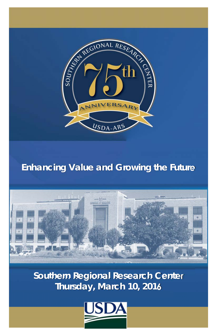

## *Enhancing Value and Growing the Future*



**Southern Regional Research Center Thursday, March 10, 2016**

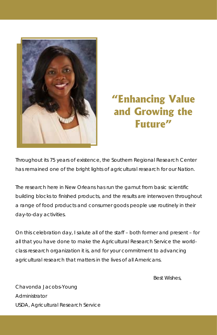

# **"Enhancing Value and Growing the Future"**

Throughout its 75 years of existence, the Southern Regional Research Center has remained one of the bright lights of agricultural research for our Nation.

The research here in New Orleans has run the gamut from basic scientific building blocks to finished products, and the results are interwoven throughout a range of food products and consumer goods people use routinely in their day-to-day activities.

On this celebration day, I salute all of the staff – both former and present – for all that you have done to make the Agricultural Research Service the worldclass research organization it is, and for your commitment to advancing agricultural research that matters in the lives of all Americans.

Best Wishes,

Chavonda Jacobs-Young Administrator USDA, Agricultural Research Service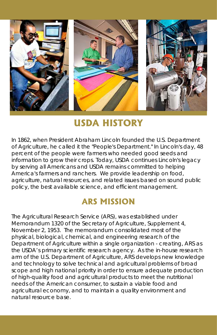

# **USDA HISTORY**

In 1862, when President Abraham Lincoln founded the U.S. Department of Agriculture, he called it the "People's Department." In Lincoln's day, 48 percent of the people were farmers who needed good seeds and information to grow their crops. Today, USDA continues Lincoln's legacy by serving all Americans and USDA remains committed to helping America's farmers and ranchers. We provide leadership on food, agriculture, natural resources, and related issues based on sound public policy, the best available science, and efficient management.

### **ARS MISSION**

The Agricultural Research Service (ARS), was established under Memorandum 1320 of the Secretary of Agriculture, Supplement 4, November 2, 1953. The memorandum consolidated most of the physical, biological, chemical, and engineering research of the Department of Agriculture within a single organization - creating, ARS as the USDA's primary scientific research agency. As the in-house research arm of the U.S. Department of Agriculture, ARS develops new knowledge and technology to solve technical and agricultural problems of broad scope and high national priority in order to ensure adequate production of high-quality food and agricultural products to meet the nutritional needs of the American consumer, to sustain a viable food and agricultural economy, and to maintain a quality environment and natural resource base.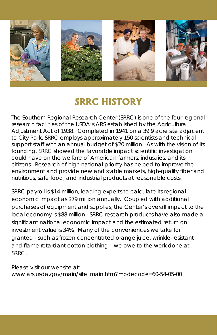

## **SRRC HISTORY**

The Southern Regional Research Center (SRRC) is one of the four regional research facilities of the USDA's ARS established by the Agricultural Adjustment Act of 1938. Completed in 1941 on a 39.9 acre site adjacent to City Park, SRRC employs approximately 150 scientists and technical support staff with an annual budget of \$20 million. As with the vision of its founding, SRRC showed the favorable impact scientific investigation could have on the welfare of American farmers, industries, and its citizens. Research of high national priority has helped to improve the environment and provide new and stable markets, high-quality fiber and nutritious, safe food, and industrial products at reasonable costs.

SRRC payroll is \$14 million, leading experts to calculate its regional economic impact as \$79 million annually. Coupled with additional purchases of equipment and supplies, the Center's overall impact to the local economy is \$88 million. SRRC research products have also made a significant national economic impact and the estimated return on investment value is 34%. Many of the conveniences we take for granted - such as frozen concentrated orange juice, wrinkle-resistant and flame retardant cotton clothing – we owe to the work done at SRRC.

Please visit our website at: www.ars.usda.gov/main/site\_main.htm?modecode=60-54-05-00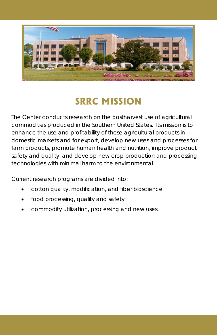

# **SRRC MISSION**

The Center conducts research on the postharvest use of agricultural commodities produced in the Southern United States. Its mission is to enhance the use and profitability of these agricultural products in domestic markets and for export, develop new uses and processes for farm products, promote human health and nutrition, improve product safety and quality, and develop new crop production and processing technologies with minimal harm to the environmental.

Current research programs are divided into:

- cotton quality, modification, and fiber bioscience
- food processing, quality and safety
- commodity utilization, processing and new uses.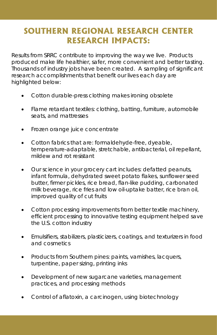#### **SOUTHERN REGIONAL RESEARCH CENTER RESEARCH IMPACTS:**

Results from SRRC contribute to improving the way we live. Products produced make life healthier, safer, more convenient and better tasting. Thousands of industry jobs have been created. A sampling of significant research accomplishments that benefit our lives each day are highlighted below:

- Cotton durable-press clothing makes ironing obsolete
- Flame retardant textiles: clothing, batting, furniture, automobile seats, and mattresses
- Frozen orange juice concentrate
- Cotton fabrics that are: formaldehyde-free, dyeable, temperature-adaptable, stretchable, antibacterial, oil repellant, mildew and rot resistant
- Our science in your grocery cart includes: defatted peanuts, infant formula, dehydrated sweet potato flakes, sunflower seed butter, firmer pickles, rice bread, flan-like pudding, carbonated milk beverage, rice fries and low oil-uptake batter, rice bran oil, improved quality of cut fruits
- Cotton processing improvements from better textile machinery, efficient processing to innovative testing equipment helped save the U.S. cotton industry
- Emulsifiers, stabilizers, plasticizers, coatings, and texturizers in food and cosmetics
- Products from Southern pines: paints, varnishes, lacquers, turpentine, paper sizing, printing inks
- Development of new sugarcane varieties, management practices, and processing methods
- Control of aflatoxin, a carcinogen, using biotechnology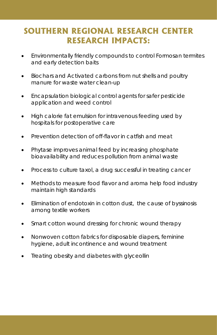#### **SOUTHERN REGIONAL RESEARCH CENTER RESEARCH IMPACTS:**

- Environmentally friendly compounds to control Formosan termites and early detection baits
- Biochars and Activated carbons from nut shells and poultry manure for waste water clean-up
- Encapsulation biological control agents for safer pesticide application and weed control
- High calorie fat emulsion for intravenous feeding used by hospitals for postoperative care
- Prevention detection of off-flavor in catfish and meat
- Phytase improves animal feed by increasing phosphate bioavailability and reduces pollution from animal waste
- Process to culture taxol, a drug successful in treating cancer
- Methods to measure food flavor and aroma help food industry maintain high standards
- Elimination of endotoxin in cotton dust, the cause of byssinosis among textile workers
- Smart cotton wound dressing for chronic wound therapy
- Nonwoven cotton fabrics for disposable diapers, feminine hygiene, adult incontinence and wound treatment
- Treating obesity and diabetes with glyceollin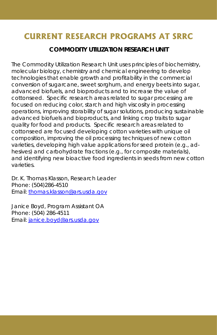#### **COMMODITY UTILIZATION RESEARCH UNIT**

The Commodity Utilization Research Unit uses principles of biochemistry, molecular biology, chemistry and chemical engineering to develop technologies that enable growth and profitability in the commercial conversion of sugarcane, sweet sorghum, and energy beets into sugar, advanced biofuels, and bioproducts and to increase the value of cottonseed. Specific research areas related to sugar processing are focused on reducing color, starch and high viscosity in processing operations, improving storability of sugar solutions, producing sustainable advanced biofuels and bioproducts, and linking crop traits to sugar quality for food and products. Specific research areas related to cottonseed are focused developing cotton varieties with unique oil composition, improving the oil processing techniques of new cotton varieties, developing high value applications for seed protein (e.g., adhesives) and carbohydrate fractions (e.g., for composite materials), and identifying new bioactive food ingredients in seeds from new cotton varieties.

Dr. K. Thomas Klasson, Research Leader Phone: (504)286-4510 Email: thomas.klasson@ars.usda.gov

Janice Boyd, Program Assistant OA Phone: (504) 286-4511 Email: janice.boyd@ars.usda.gov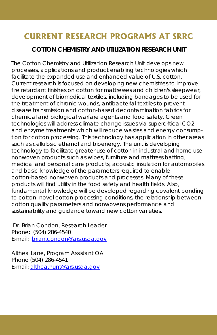#### **COTTON CHEMISTRY AND UTILIZATION RESEARCH UNIT**

The Cotton Chemistry and Utilization Research Unit develops new processes, applications and product enabling technologies which facilitate the expanded use and enhanced value of U.S. cotton. Current research is focused on developing new chemistries to improve fire retardant finishes on cotton for mattresses and children's sleepwear, development of biomedical textiles, including bandages to be used for the treatment of chronic wounds, antibacterial textiles to prevent disease transmission and cotton-based decontamination fabrics for chemical and biological warfare agents and food safety. Green technologies will address climate change issues via supercritical CO2 and enzyme treatments which will reduce wastes and energy consumption for cotton processing. This technology has application in other areas such as cellulosic ethanol and bioenergy. The unit is developing technology to facilitate greater use of cotton in industrial and home use nonwoven products such as wipes, furniture and mattress batting, medical and personal care products, acoustic insulation for automobiles and basic knowledge of the parameters required to enable cotton-based nonwoven products and processes. Many of these products will find utility in the food safety and health fields. Also, fundamental knowledge will be developed regarding covalent bonding to cotton, novel cotton processing conditions, the relationship between cotton quality parameters and nonwovens performance and sustainability and guidance toward new cotton varieties.

 Dr. Brian Condon, Research Leader Phone: (504) 286-4540 E-mail: brian.condon@ars.usda.gov

Althea Lane, Program Assistant OA Phone (504) 286-4541 E-mail: althea.hunt@ars.usda.gov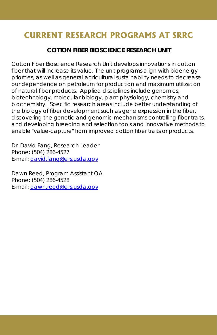#### **COTTON FIBER BIOSCIENCE RESEARCH UNIT**

Cotton Fiber Bioscience Research Unit develops innovations in cotton fiber that will increase its value. The unit programs align with bioenergy priorities, as well as general agricultural sustainability needs to decrease our dependence on petroleum for production and maximum utilization of natural fiber products. Applied disciplines include genomics, biotechnology, molecular biology, plant physiology, chemistry and biochemistry. Specific research areas include better understanding of the biology of fiber development such as gene expression in the fiber, discovering the genetic and genomic mechanisms controlling fiber traits, and developing breeding and selection tools and innovative methods to enable "value-capture" from improved cotton fiber traits or products.

Dr. David Fang, Research Leader Phone: (504) 286-4527 E-mail: david.fang@ars.usda.gov

Dawn Reed, Program Assistant OA Phone: (504) 286-4528 E-mail: dawn.reed@ars.usda.gov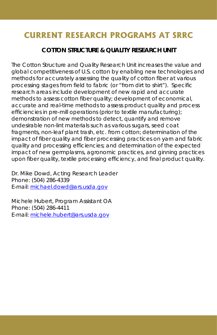#### **COTTON STRUCTURE & QUALITY RESEARCH UNIT**

The Cotton Structure and Quality Research Unit increases the value and global competitiveness of U.S. cotton by enabling new technologies and methods for accurately assessing the quality of cotton fiber at various processing stages from field to fabric (or "from dirt to shirt"). Specific research areas include development of new rapid and accurate methods to assess cotton fiber quality; development of economical, accurate and real-time methods to assess product quality and process efficiencies in pre-mill operations (prior to textile manufacturing); demonstration of new methods to detect, quantify and remove undesirable non-lint materials such as various sugars, seed coat fragments, non-leaf plant trash, etc. from cotton; determination of the impact of fiber quality and fiber processing practices on yarn and fabric quality and processing efficiencies; and determination of the expected impact of new germplasms, agronomic practices, and ginning practices upon fiber quality, textile processing efficiency, and final product quality.

Dr. Mike Dowd, Acting Research Leader Phone: (504) 286-4339 E-mail: michael.dowd@ars.usda.gov

Michele Hubert, Program Assistant OA Phone: (504) 286-4411 E-mail: michele.hubert@ars.usda.gov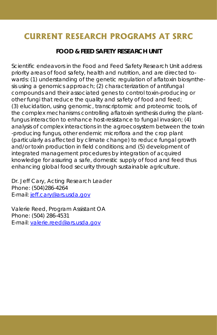#### **FOOD & FEED SAFETY RESEARCH UNIT**

Scientific endeavors in the Food and Feed Safety Research Unit address priority areas of food safety, health and nutrition, and are directed towards: (1) understanding of the genetic regulation of aflatoxin biosynthesis using a genomics approach; (2) characterization of antifungal compounds and their associated genes to control toxin-producing or other fungi that reduce the quality and safety of food and feed; (3) elucidation, using genomic, transcriptomic and proteomic tools, of the complex mechanisms controlling aflatoxin synthesis during the plantfungus interaction to enhance host-resistance to fungal invasion; (4) analysis of complex interactions in the agroecosystem between the toxin -producing fungus, other endemic microflora and the crop plant (particularly as affected by climate change) to reduce fungal growth and/or toxin production in field conditions; and (5) development of integrated management procedures by integration of acquired knowledge for assuring a safe, domestic supply of food and feed thus enhancing global food security through sustainable agriculture.

Dr. Jeff Cary, Acting Research Leader Phone: (504)286-4264 E-mail: jeff.cary@ars.usda.gov

Valerie Reed, Program Assistant OA Phone: (504) 286-4531 E-mail: valerie.reed@ars.usda.gov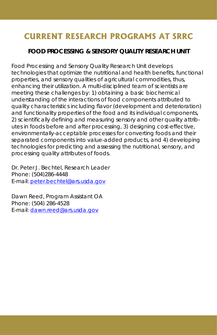#### **FOOD PROCESSING & SENSORY QUALITY RESEARCH UNIT**

Food Processing and Sensory Quality Research Unit develops technologies that optimize the nutritional and health benefits, functional properties, and sensory qualities of agricultural commodities, thus, enhancing their utilization. A multi-disciplined team of scientists are meeting these challenges by: 1) obtaining a basic biochemical understanding of the interactions of food components attributed to quality characteristics including flavor (development and deterioration) and functionality properties of the food and its individual components, 2) scientifically defining and measuring sensory and other quality attributes in foods before and after processing, 3) designing cost-effective, environmentally-acceptable processes for converting foods and their separated components into value-added products, and 4) developing technologies for predicting and assessing the nutritional, sensory, and processing quality attributes of foods.

Dr. Peter J. Bechtel, Research Leader Phone: (504)286-4448 E-mail: peter.bechtel@ars.usda.gov

Dawn Reed, Program Assistant OA Phone: (504) 286-4528 E-mail: dawn.reed@ars.usda.gov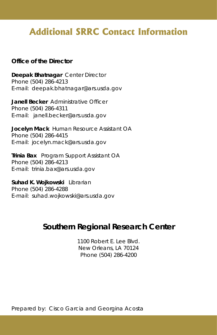## **Additional SRRC Contact Information**

#### **Office of the Director**

**Deepak Bhatnagar** Center Director Phone (504) 286-4213 E-mail: deepak.bhatnagar@ars.usda.gov

**Janell Becker** Administrative Officer Phone (504) 286-4311 E-mail: janell.becker@ars.usda.gov

**Jocelyn Mack** Human Resource Assistant OA Phone (504) 286-4415 E-mail: jocelyn.mack@ars.usda.gov

**Trinia Bax** Program Support Assistant OA Phone (504) 286-4213 E-mail: trinia.bax@ars.usda.gov

**Suhad K. Wojkowski** Librarian Phone (504) 286-4288 E-mail: suhad.wojkowski@ars.usda.gov

#### **Southern Regional Research Center**

1100 Robert E. Lee Blvd. New Orleans, LA 70124 Phone (504) 286-4200

Prepared by: Cisco Garcia and Georgina Acosta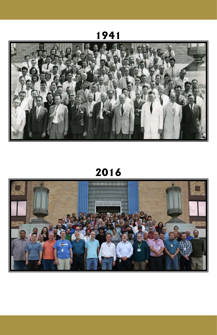